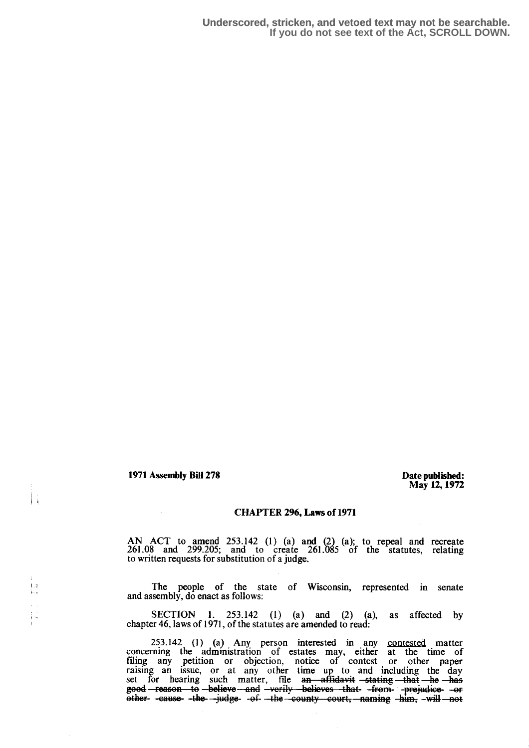1971 Assembly Bill 278 Date published:

Li

t.

May 12,1972

## CHAPTER 296, Laws of 1971

AN ACT to amend 253 .142 (1) (a) and (2) (a); to repeal and recreate 261 .08 and 299.205 ; and to create 261 .085 of the statutes, relating to written requests for substitution of a judge.

The people of the state of Wisconsin, represented in senate and assembly, do enact as follows:

SECTION 1.  $253.142$  (1) (a) and (2) (a), as affected by chapter 46, laws of 1971, of the statutes are amended to read:

253.142 (1) (a) Any person interested in any contested matter concerning the administration of estates may, either at the time of filing any petition or objection, notice of contest or other paper raising an issue, or at any other time up to and including the day set for hearing such matter, file an affidavit stating that he has good—reason to—believe—and -verily -believes that -from- -prejudice- -or<br>other- -cause- -the- -judge- -of- --the—county -court,—naming -him, -will—not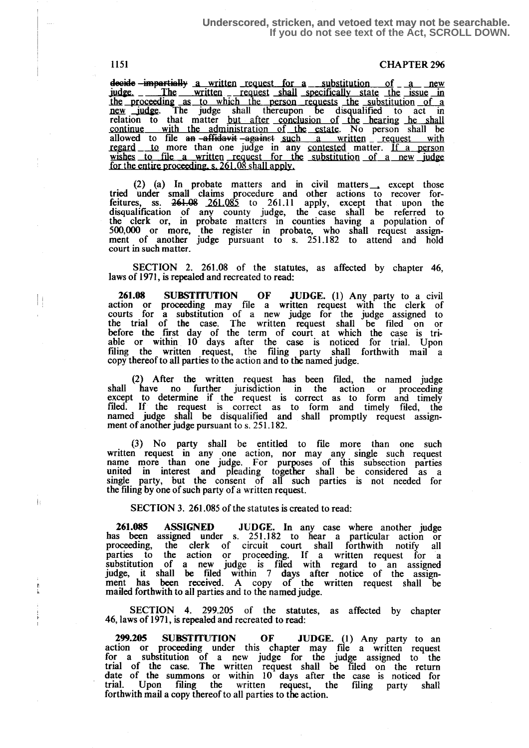## **Underscored, stricken, and vetoed text may not be searchable. If you do not see text of the Act, SCROLL DOWN.**

1151 CHAPTER 296

decide -imp  $\frac{1}{\text{mperti}}$  a written request for a substitution of a new judge. \_ The written \_ request shall specifically state the issue in the proceeding as to which the person requests the substitution of a<br>new judge. The judge shall thereupon be disqualified to act in<br>relation to that matter but after conclusion of the hearing he shall<br>continue with the adm regard to more than one judge in any contested matter. If a person wishes to file a written request for the substitution of a new judge for the entire proceeding, s. 261.08 shall apply.

(2) (a) In probate matters and in civil matters except those tried under small claims procedure and other actions to recover forfeitures, ss.  $261.085$  to  $261.11$  apply, except that upon the disualification of any county judge, the case shall be referred to the' clerk or, in probate matters in counties having a population of 500,000 or more, the register in probate, who shall request assignment of another judge pursuant to s. 251.182 to attend and hold court in such matter .

SECTION 2. 261.08 of the statutes, as affected by chapter 46, laws of 1971, is repealed and recreated to read:

261.08 SUBSTITUTION OF JUDGE. (1) Any party to a civil<br>estimate a preceding may file a unitary council with the slack of action or proceeding may file a written request with the clerk of courts for a substitution of a new judge for the judge assigned to the trial of the case. The written request shall be filed on or before the first day of the term of court at which the case is triable or within 10 days after the case is noticed for trial. Upon filing the written request, the filing party shall forthwith mail a copy thereof to all parties to the action and to the named judge.

> (2) After the written request bas been filed, the named judge shall have no further jurisdiction in the action or proceeding except to determine if the request is correct as to form and timely filed. If the request is correct as to form and timely filed, the named judge shall be disqualified and shall promptly request assignment of another judge pursuant to s. 251.182.

> (3) No party shall be entitled to file more than one such written request in any one action, nor may any single such request name more than one judge. For purposes of this subsection parties united in interest and pleading together shall be considered as a single party, but the consent of all such parties is not needed for the filing by one of such party of a written request.

SECTION 3. 261,085 of the statutes is created to read:

261.085 ASSIGNED JUDGE. In any case where another judge has been assigned under s. 251.182 to hear a particular action or proceeding, the clerk of circuit court shall forthwith notify all parties to the action or proceeding. If a written request for a substitution of a new judge is filed with regard to an assigned judge, it shall be filed within 7 days after notice of the assign-ment has been received . A copy of the written request shall be mailed forthwith to all parties and to the named judge.

SECTION 4. 299.205 of the statutes, as affected by chapter 46, laws of 1971, is repealed and recreated to read :

 $299.205$  SUBSTITUTION OF JUDGE. (1) Any party to an action or proceeding under this chapter may file a written request for a substitution of a new judge for the judge assigned to the trial of the case. The written request shall be filed on the return date of the summons or within 10 days after the case is noticed for trial. Upon filing the written request, the filing party shall forthwith mail a copy thereof to all parties to the action.

 $\mathbb{H}$